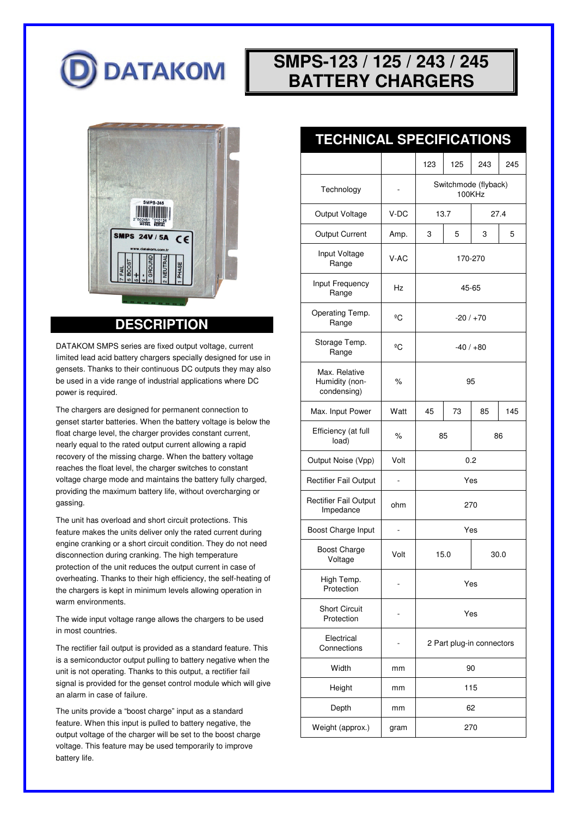

# **SMPS-123 / 125 / 243 / 245 BATTERY CHARGERS**



#### **DESCRIPTION**

DATAKOM SMPS series are fixed output voltage, current limited lead acid battery chargers specially designed for use in gensets. Thanks to their continuous DC outputs they may also be used in a vide range of industrial applications where DC power is required.

The chargers are designed for permanent connection to genset starter batteries. When the battery voltage is below the float charge level, the charger provides constant current, nearly equal to the rated output current allowing a rapid recovery of the missing charge. When the battery voltage reaches the float level, the charger switches to constant voltage charge mode and maintains the battery fully charged, providing the maximum battery life, without overcharging or gassing.

The unit has overload and short circuit protections. This feature makes the units deliver only the rated current during engine cranking or a short circuit condition. They do not need disconnection during cranking. The high temperature protection of the unit reduces the output current in case of overheating. Thanks to their high efficiency, the self-heating of the chargers is kept in minimum levels allowing operation in warm environments.

The wide input voltage range allows the chargers to be used in most countries.

The rectifier fail output is provided as a standard feature. This is a semiconductor output pulling to battery negative when the unit is not operating. Thanks to this output, a rectifier fail signal is provided for the genset control module which will give an alarm in case of failure.

The units provide a "boost charge" input as a standard feature. When this input is pulled to battery negative, the output voltage of the charger will be set to the boost charge voltage. This feature may be used temporarily to improve battery life.

| <b>TECHNICAL SPECIFICATIONS</b>                |      |                                |     |     |     |  |  |  |  |
|------------------------------------------------|------|--------------------------------|-----|-----|-----|--|--|--|--|
|                                                |      | 123                            | 125 | 243 | 245 |  |  |  |  |
| Technology                                     |      | Switchmode (flyback)<br>100KHz |     |     |     |  |  |  |  |
| Output Voltage                                 | V-DC | 13.7<br>27.4                   |     |     |     |  |  |  |  |
| <b>Output Current</b>                          | Amp. | 3                              | 5   | 3   | 5   |  |  |  |  |
| Input Voltage<br>Range                         | V-AC | 170-270                        |     |     |     |  |  |  |  |
| Input Frequency<br>Range                       | Hz   | 45-65                          |     |     |     |  |  |  |  |
| Operating Temp.<br>Range                       | ºC   | $-20/170$                      |     |     |     |  |  |  |  |
| Storage Temp.<br>Range                         | ºC   | $-40/ +80$                     |     |     |     |  |  |  |  |
| Max. Relative<br>Humidity (non-<br>condensing) | $\%$ | 95                             |     |     |     |  |  |  |  |
| Max. Input Power                               | Watt | 45                             | 73  | 85  | 145 |  |  |  |  |
| Efficiency (at full<br>load)                   | %    | 85                             |     | 86  |     |  |  |  |  |
| Output Noise (Vpp)                             | Volt | 0.2                            |     |     |     |  |  |  |  |
| Rectifier Fail Output                          |      | Yes                            |     |     |     |  |  |  |  |
|                                                |      |                                |     |     |     |  |  |  |  |

| Max. Input Power                          | Watt | 45                        | 73 | 85 | 145 |  |
|-------------------------------------------|------|---------------------------|----|----|-----|--|
| Efficiency (at full<br>load)              | $\%$ | 85<br>86                  |    |    |     |  |
| Output Noise (Vpp)                        | Volt | 0.2                       |    |    |     |  |
| <b>Rectifier Fail Output</b>              |      | Yes                       |    |    |     |  |
| <b>Rectifier Fail Output</b><br>Impedance | ohm  | 270                       |    |    |     |  |
| Boost Charge Input                        |      | Yes                       |    |    |     |  |
| <b>Boost Charge</b><br>Voltage            | Volt | 15.0<br>30.0              |    |    |     |  |
| High Temp.<br>Protection                  |      | Yes                       |    |    |     |  |
| <b>Short Circuit</b><br>Protection        |      | Yes                       |    |    |     |  |
| Electrical<br>Connections                 |      | 2 Part plug-in connectors |    |    |     |  |
| Width                                     | mm   | 90                        |    |    |     |  |
| Height                                    | mm   | 115                       |    |    |     |  |
| Depth                                     | mm   | 62                        |    |    |     |  |
| Weight (approx.)                          | gram | 270                       |    |    |     |  |